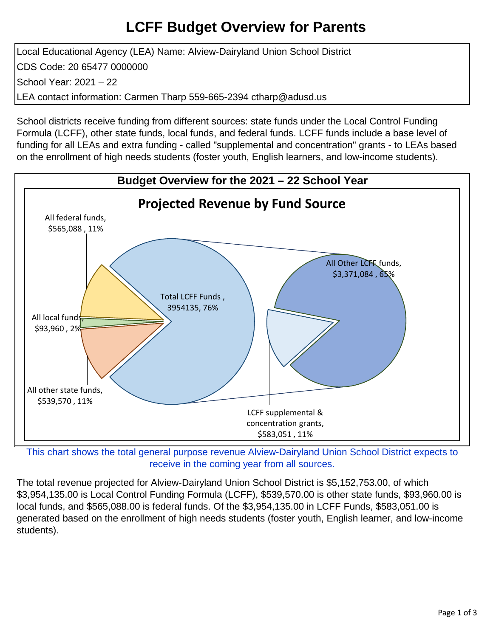## **LCFF Budget Overview for Parents**

Local Educational Agency (LEA) Name: Alview-Dairyland Union School District CDS Code: 20 65477 0000000 School Year: 2021 – 22 LEA contact information: Carmen Tharp 559-665-2394 ctharp@adusd.us

School districts receive funding from different sources: state funds under the Local Control Funding Formula (LCFF), other state funds, local funds, and federal funds. LCFF funds include a base level of funding for all LEAs and extra funding - called "supplemental and concentration" grants - to LEAs based on the enrollment of high needs students (foster youth, English learners, and low-income students).



This chart shows the total general purpose revenue Alview-Dairyland Union School District expects to receive in the coming year from all sources.

The total revenue projected for Alview-Dairyland Union School District is \$5,152,753.00, of which \$3,954,135.00 is Local Control Funding Formula (LCFF), \$539,570.00 is other state funds, \$93,960.00 is local funds, and \$565,088.00 is federal funds. Of the \$3,954,135.00 in LCFF Funds, \$583,051.00 is generated based on the enrollment of high needs students (foster youth, English learner, and low-income students).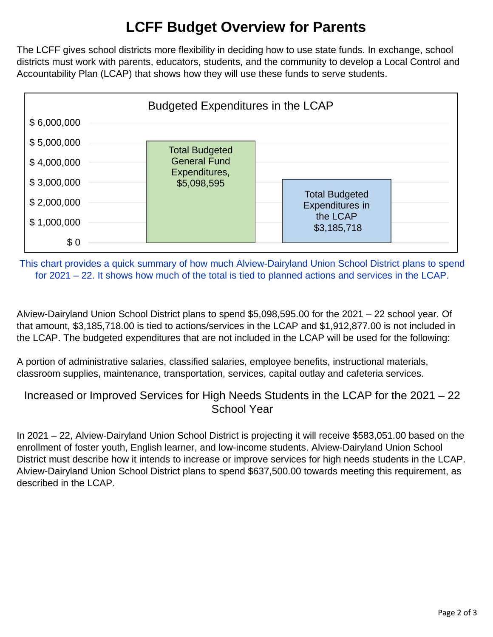# **LCFF Budget Overview for Parents**

The LCFF gives school districts more flexibility in deciding how to use state funds. In exchange, school districts must work with parents, educators, students, and the community to develop a Local Control and Accountability Plan (LCAP) that shows how they will use these funds to serve students.



This chart provides a quick summary of how much Alview-Dairyland Union School District plans to spend for 2021 – 22. It shows how much of the total is tied to planned actions and services in the LCAP.

Alview-Dairyland Union School District plans to spend \$5,098,595.00 for the 2021 – 22 school year. Of that amount, \$3,185,718.00 is tied to actions/services in the LCAP and \$1,912,877.00 is not included in the LCAP. The budgeted expenditures that are not included in the LCAP will be used for the following:

A portion of administrative salaries, classified salaries, employee benefits, instructional materials, classroom supplies, maintenance, transportation, services, capital outlay and cafeteria services.

### Increased or Improved Services for High Needs Students in the LCAP for the 2021 – 22 School Year

In 2021 – 22, Alview-Dairyland Union School District is projecting it will receive \$583,051.00 based on the enrollment of foster youth, English learner, and low-income students. Alview-Dairyland Union School District must describe how it intends to increase or improve services for high needs students in the LCAP. Alview-Dairyland Union School District plans to spend \$637,500.00 towards meeting this requirement, as described in the LCAP.